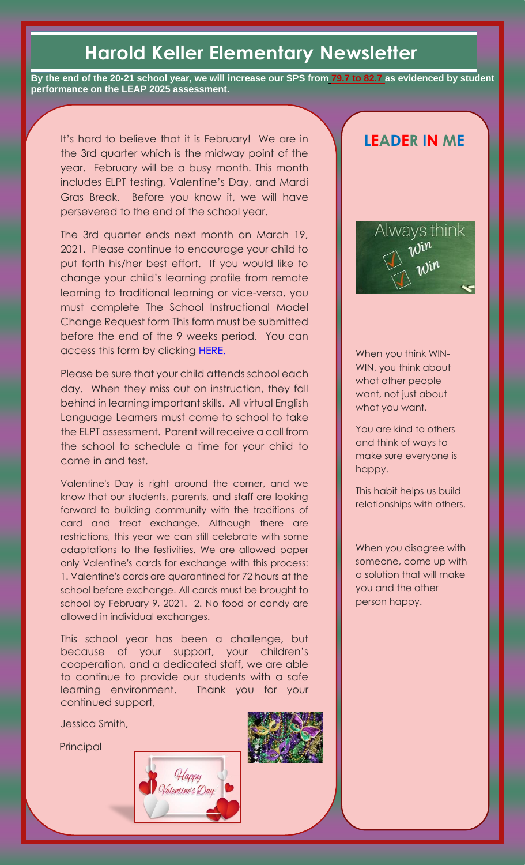# **Harold Keller Elementary Newsletter**

**By the end of the 20-21 school year, we will increase our SPS from 79.7 to 82.7 as evidenced by student performance on the LEAP 2025 assessment.**

It's hard to believe that it is February! We are in the 3rd quarter which is the midway point of the year. February will be a busy month. This month includes ELPT testing, Valentine's Day, and Mardi Gras Break. Before you know it, we will have persevered to the end of the school year.

The 3rd quarter ends next month on March 19, 2021. Please continue to encourage your child to put forth his/her best effort. If you would like to change your child's learning profile from remote learning to traditional learning or vice-versa, you must complete The School Instructional Model Change Request form This form must be submitted before the end of the 9 weeks period. You can access this form by clicking [HERE.](https://www.jpschools.org/cms/lib/LA50000440/Centricity/Domain/119/Virtual%20Learning/ENGLISH-%20SCHOOL%20INSTRUCTIONAL%20MODEL%20CHANGE%20REQUEST.pdf)

Please be sure that your child attends school each day. When they miss out on instruction, they fall behind in learning important skills. All virtual English Language Learners must come to school to take the ELPT assessment. Parent will receive a call from the school to schedule a time for your child to come in and test.

Valentine's Day is right around the corner, and we know that our students, parents, and staff are looking forward to building community with the traditions of card and treat exchange. Although there are restrictions, this year we can still celebrate with some adaptations to the festivities. We are allowed paper only Valentine's cards for exchange with this process: 1. Valentine's cards are quarantined for 72 hours at the school before exchange. All cards must be brought to school by February 9, 2021. 2. No food or candy are allowed in individual exchanges.

This school year has been a challenge, but because of your support, your children's cooperation, and a dedicated staff, we are able to continue to provide our students with a safe learning environment. Thank you for your continued support,

Jessica Smith,

Principal







When you think WIN-WIN, you think about what other people want, not just about what you want.

You are kind to others and think of ways to make sure everyone is happy.

This habit helps us build relationships with others.

When you disagree with someone, come up with a solution that will make you and the other person happy.